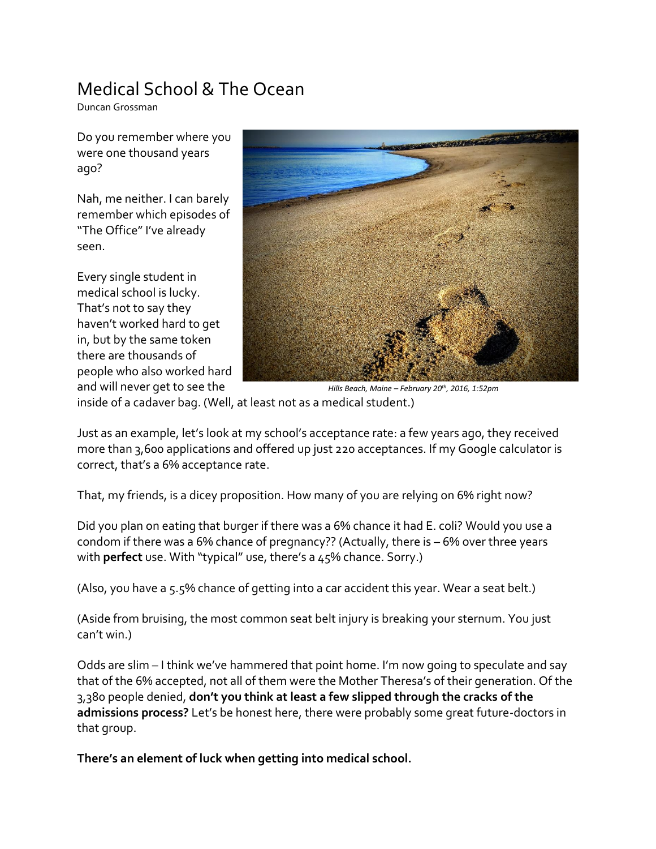## Medical School & The Ocean

Duncan Grossman

Do you remember where you were one thousand years ago?

Nah, me neither. I can barely remember which episodes of "The Office" I've already seen.

Every single student in medical school is lucky. That's not to say they haven't worked hard to get in, but by the same token there are thousands of people who also worked hard and will never get to see the



inside of a cadaver bag. (Well, at least not as a medical student.) *Hills Beach, Maine – February 20th, 2016, 1:52pm*

Just as an example, let's look at my school's acceptance rate: a few years ago, they received more than 3,600 applications and offered up just 220 acceptances. If my Google calculator is correct, that's a 6% acceptance rate.

That, my friends, is a dicey proposition. How many of you are relying on 6% right now?

Did you plan on eating that burger if there was a 6% chance it had E. coli? Would you use a condom if there was a 6% chance of pregnancy?? (Actually, there is – 6% over three years with **perfect** use. With "typical" use, there's a 45% chance. Sorry.)

(Also, you have a 5.5% chance of getting into a car accident this year. Wear a seat belt.)

(Aside from bruising, the most common seat belt injury is breaking your sternum. You just can't win.)

Odds are slim – I think we've hammered that point home. I'm now going to speculate and say that of the 6% accepted, not all of them were the Mother Theresa's of their generation. Of the 3,380 people denied, **don't you think at least a few slipped through the cracks of the admissions process?** Let's be honest here, there were probably some great future-doctors in that group.

**There's an element of luck when getting into medical school.**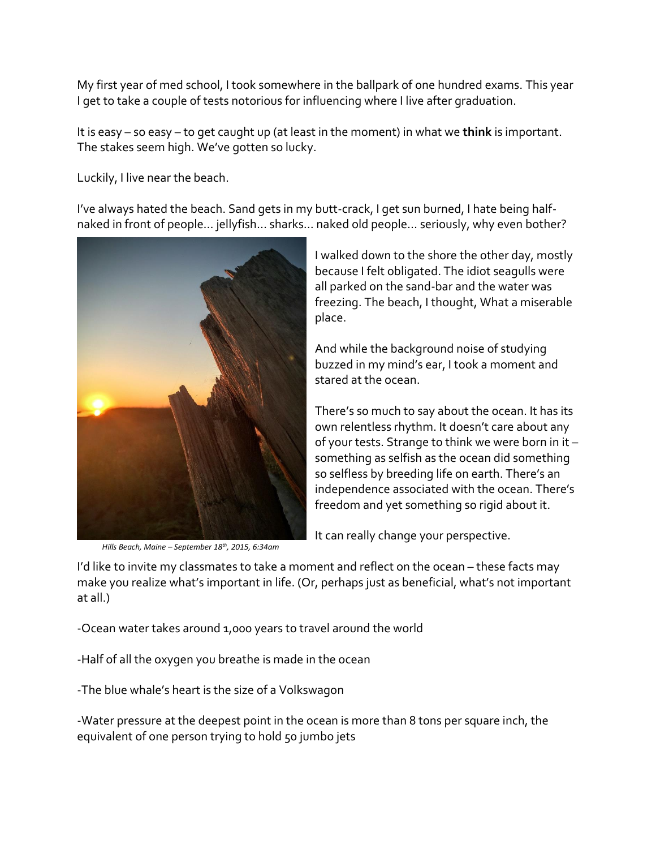My first year of med school, I took somewhere in the ballpark of one hundred exams. This year I get to take a couple of tests notorious for influencing where I live after graduation.

It is easy – so easy – to get caught up (at least in the moment) in what we **think** is important. The stakes seem high. We've gotten so lucky.

Luckily, I live near the beach.

I've always hated the beach. Sand gets in my butt-crack, I get sun burned, I hate being halfnaked in front of people… jellyfish… sharks… naked old people… seriously, why even bother?



*Hills Beach, Maine – September 18th, 2015, 6:34am*

I walked down to the shore the other day, mostly because I felt obligated. The idiot seagulls were all parked on the sand-bar and the water was freezing. The beach, I thought, What a miserable place.

And while the background noise of studying buzzed in my mind's ear, I took a moment and stared at the ocean.

There's so much to say about the ocean. It has its own relentless rhythm. It doesn't care about any of your tests. Strange to think we were born in it – something as selfish as the ocean did something so selfless by breeding life on earth. There's an independence associated with the ocean. There's freedom and yet something so rigid about it.

It can really change your perspective.

I'd like to invite my classmates to take a moment and reflect on the ocean - these facts may make you realize what's important in life. (Or, perhaps just as beneficial, what's not important at all.)

-Ocean water takes around 1,000 years to travel around the world

-Half of all the oxygen you breathe is made in the ocean

-The blue whale's heart is the size of a Volkswagon

-Water pressure at the deepest point in the ocean is more than 8 tons per square inch, the equivalent of one person trying to hold 50 jumbo jets